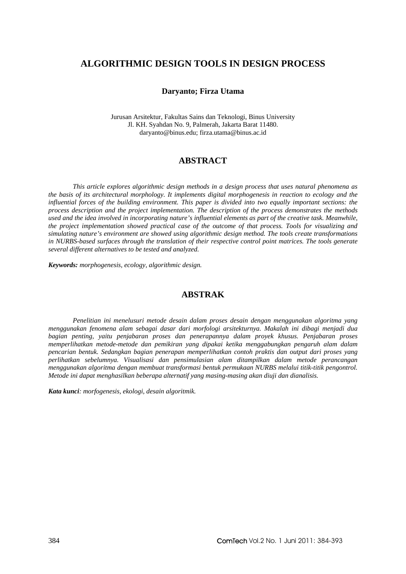# **ALGORITHMIC DESIGN TOOLS IN DESIGN PROCESS**

#### **Daryanto; Firza Utama**

Jurusan Arsitektur, Fakultas Sains dan Teknologi, Binus University Jl. KH. Syahdan No. 9, Palmerah, Jakarta Barat 11480. daryanto@binus.edu; firza.utama@binus.ac.id

# **ABSTRACT**

*This article explores algorithmic design methods in a design process that uses natural phenomena as the basis of its architectural morphology. It implements digital morphogenesis in reaction to ecology and the influential forces of the building environment. This paper is divided into two equally important sections: the process description and the project implementation. The description of the process demonstrates the methods used and the idea involved in incorporating nature's influential elements as part of the creative task. Meanwhile, the project implementation showed practical case of the outcome of that process. Tools for visualizing and simulating nature's environment are showed using algorithmic design method. The tools create transformations in NURBS-based surfaces through the translation of their respective control point matrices. The tools generate several different alternatives to be tested and analyzed.* 

*Keywords: morphogenesis, ecology, algorithmic design.* 

# **ABSTRAK**

*Penelitian ini menelusuri metode desain dalam proses desain dengan menggunakan algoritma yang menggunakan fenomena alam sebagai dasar dari morfologi arsitekturnya. Makalah ini dibagi menjadi dua bagian penting, yaitu penjabaran proses dan penerapannya dalam proyek khusus. Penjabaran proses memperlihatkan metode-metode dan pemikiran yang dipakai ketika menggabungkan pengaruh alam dalam pencarian bentuk. Sedangkan bagian penerapan memperlihatkan contoh praktis dan output dari proses yang perlihatkan sebelumnya. Visualisasi dan pensimulasian alam ditampilkan dalam metode perancangan menggunakan algoritma dengan membuat transformasi bentuk permukaan NURBS melalui titik-titik pengontrol. Metode ini dapat menghasilkan beberapa alternatif yang masing-masing akan diuji dan dianalisis.* 

*Kata kunci: morfogenesis, ekologi, desain algoritmik.*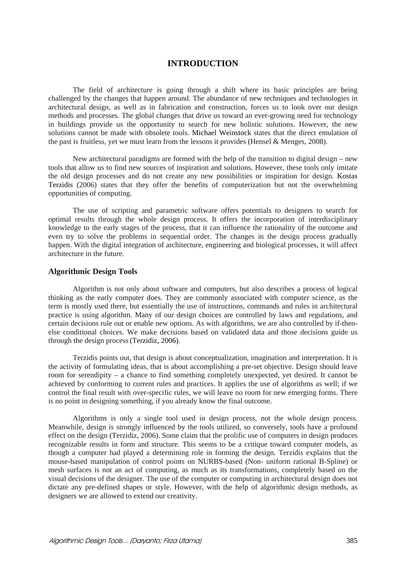### **INTRODUCTION**

The field of architecture is going through a shift where its basic principles are being challenged by the changes that happen around. The abundance of new techniques and technologies in architectural design, as well as in fabrication and construction, forces us to look over our design methods and processes. The global changes that drive us toward an ever-growing need for technology in buildings provide us the opportunity to search for new holistic solutions. However, the new solutions cannot be made with obsolete tools. Michael Weinstock states that the direct emulation of the past is fruitless, yet we must learn from the lessons it provides (Hensel & Menges, 2008).

New architectural paradigms are formed with the help of the transition to digital design – new tools that allow us to find new sources of inspiration and solutions. However, these tools only imitate the old design processes and do not create any new possibilities or inspiration for design. Kostas Terzidis (2006) states that they offer the benefits of computerization but not the overwhelming opportunities of computing.

The use of scripting and parametric software offers potentials to designers to search for optimal results through the whole design process. It offers the incorporation of interdisciplinary knowledge to the early stages of the process, that it can influence the rationality of the outcome and even try to solve the problems in sequential order. The changes in the design process gradually happen. With the digital integration of architecture, engineering and biological processes, it will affect architecture in the future.

#### **Algorithmic Design Tools**

Algorithm is not only about software and computers, but also describes a process of logical thinking as the early computer does. They are commonly associated with computer science, as the term is mostly used there, but essentially the use of instructions, commands and rules in architectural practice is using algorithm. Many of our design choices are controlled by laws and regulations, and certain decisions rule out or enable new options. As with algorithms, we are also controlled by if-thenelse conditional choices. We make decisions based on validated data and those decisions guide us through the design process(Terzidiz, 2006).

Terzidis points out, that design is about conceptualization, imagination and interpretation. It is the activity of formulating ideas, that is about accomplishing a pre-set objective. Design should leave room for serendipity – a chance to find something completely unexpected, yet desired. It cannot be achieved by conforming to current rules and practices. It applies the use of algorithms as well; if we control the final result with over-specific rules, we will leave no room for new emerging forms. There is no point in designing something, if you already know the final outcome.

Algorithms is only a single tool used in design process, not the whole design process. Meanwhile, design is strongly influenced by the tools utilized, so conversely, tools have a profound effect on the design (Terzidiz, 2006). Some claim that the prolific use of computers in design produces recognizable results in form and structure. This seems to be a critique toward computer models, as though a computer had played a determining role in forming the design. Terzidis explains that the mouse-based manipulation of control points on NURBS-based (Non- uniform rational B-Spline) or mesh surfaces is not an act of computing, as much as its transformations, completely based on the visual decisions of the designer. The use of the computer or computing in architectural design does not dictate any pre-defined shapes or style. However, with the help of algorithmic design methods, as designers we are allowed to extend our creativity.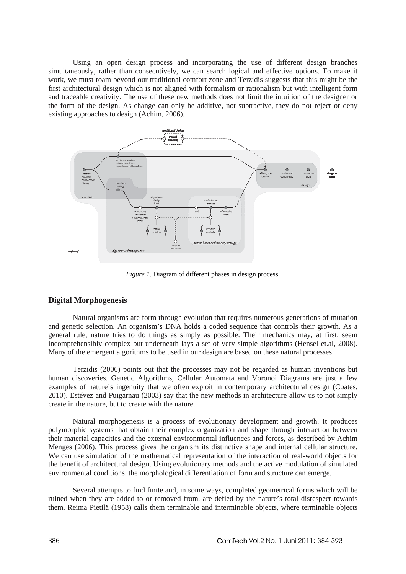Using an open design process and incorporating the use of different design branches simultaneously, rather than consecutively, we can search logical and effective options. To make it work, we must roam beyond our traditional comfort zone and Terzidis suggests that this might be the first architectural design which is not aligned with formalism or rationalism but with intelligent form and traceable creativity. The use of these new methods does not limit the intuition of the designer or the form of the design. As change can only be additive, not subtractive, they do not reject or deny existing approaches to design (Achim, 2006).



*Figure 1*. Diagram of different phases in design process.

### **Digital Morphogenesis**

Natural organisms are form through evolution that requires numerous generations of mutation and genetic selection. An organism's DNA holds a coded sequence that controls their growth. As a general rule, nature tries to do things as simply as possible. Their mechanics may, at first, seem incomprehensibly complex but underneath lays a set of very simple algorithms (Hensel et.al, 2008). Many of the emergent algorithms to be used in our design are based on these natural processes.

Terzidis (2006) points out that the processes may not be regarded as human inventions but human discoveries. Genetic Algorithms, Cellular Automata and Voronoi Diagrams are just a few examples of nature's ingenuity that we often exploit in contemporary architectural design (Coates, 2010). Estévez and Puigarnau (2003) say that the new methods in architecture allow us to not simply create in the nature, but to create with the nature.

Natural morphogenesis is a process of evolutionary development and growth. It produces polymorphic systems that obtain their complex organization and shape through interaction between their material capacities and the external environmental influences and forces, as described by Achim Menges (2006). This process gives the organism its distinctive shape and internal cellular structure. We can use simulation of the mathematical representation of the interaction of real-world objects for the benefit of architectural design. Using evolutionary methods and the active modulation of simulated environmental conditions, the morphological differentiation of form and structure can emerge.

Several attempts to find finite and, in some ways, completed geometrical forms which will be ruined when they are added to or removed from, are defied by the nature's total disrespect towards them. Reima Pietilä (1958) calls them terminable and interminable objects, where terminable objects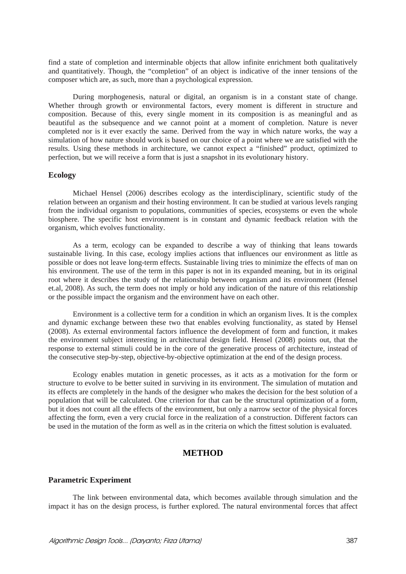find a state of completion and interminable objects that allow infinite enrichment both qualitatively and quantitatively. Though, the "completion" of an object is indicative of the inner tensions of the composer which are, as such, more than a psychological expression.

During morphogenesis, natural or digital, an organism is in a constant state of change. Whether through growth or environmental factors, every moment is different in structure and composition. Because of this, every single moment in its composition is as meaningful and as beautiful as the subsequence and we cannot point at a moment of completion. Nature is never completed nor is it ever exactly the same. Derived from the way in which nature works, the way a simulation of how nature should work is based on our choice of a point where we are satisfied with the results. Using these methods in architecture, we cannot expect a "finished" product, optimized to perfection, but we will receive a form that is just a snapshot in its evolutionary history.

### **Ecology**

Michael Hensel (2006) describes ecology as the interdisciplinary, scientific study of the relation between an organism and their hosting environment. It can be studied at various levels ranging from the individual organism to populations, communities of species, ecosystems or even the whole biosphere. The specific host environment is in constant and dynamic feedback relation with the organism, which evolves functionality.

As a term, ecology can be expanded to describe a way of thinking that leans towards sustainable living. In this case, ecology implies actions that influences our environment as little as possible or does not leave long-term effects. Sustainable living tries to minimize the effects of man on his environment. The use of the term in this paper is not in its expanded meaning, but in its original root where it describes the study of the relationship between organism and its environment (Hensel et.al, 2008). As such, the term does not imply or hold any indication of the nature of this relationship or the possible impact the organism and the environment have on each other.

Environment is a collective term for a condition in which an organism lives. It is the complex and dynamic exchange between these two that enables evolving functionality, as stated by Hensel (2008). As external environmental factors influence the development of form and function, it makes the environment subject interesting in architectural design field. Hensel (2008) points out, that the response to external stimuli could be in the core of the generative process of architecture, instead of the consecutive step-by-step, objective-by-objective optimization at the end of the design process.

Ecology enables mutation in genetic processes, as it acts as a motivation for the form or structure to evolve to be better suited in surviving in its environment. The simulation of mutation and its effects are completely in the hands of the designer who makes the decision for the best solution of a population that will be calculated. One criterion for that can be the structural optimization of a form, but it does not count all the effects of the environment, but only a narrow sector of the physical forces affecting the form, even a very crucial force in the realization of a construction. Different factors can be used in the mutation of the form as well as in the criteria on which the fittest solution is evaluated.

## **METHOD**

#### **Parametric Experiment**

The link between environmental data, which becomes available through simulation and the impact it has on the design process, is further explored. The natural environmental forces that affect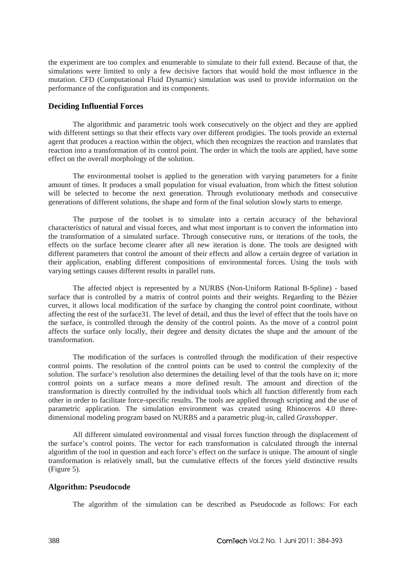the experiment are too complex and enumerable to simulate to their full extend. Because of that, the simulations were limited to only a few decisive factors that would hold the most influence in the mutation. CFD (Computational Fluid Dynamic) simulation was used to provide information on the performance of the configuration and its components.

### **Deciding Influential Forces**

The algorithmic and parametric tools work consecutively on the object and they are applied with different settings so that their effects vary over different prodigies. The tools provide an external agent that produces a reaction within the object, which then recognizes the reaction and translates that reaction into a transformation of its control point. The order in which the tools are applied, have some effect on the overall morphology of the solution.

The environmental toolset is applied to the generation with varying parameters for a finite amount of times. It produces a small population for visual evaluation, from which the fittest solution will be selected to become the next generation. Through evolutionary methods and consecutive generations of different solutions, the shape and form of the final solution slowly starts to emerge.

The purpose of the toolset is to simulate into a certain accuracy of the behavioral characteristics of natural and visual forces, and what most important is to convert the information into the transformation of a simulated surface. Through consecutive runs, or iterations of the tools, the effects on the surface become clearer after all new iteration is done. The tools are designed with different parameters that control the amount of their effects and allow a certain degree of variation in their application, enabling different compositions of environmental forces. Using the tools with varying settings causes different results in parallel runs.

The affected object is represented by a NURBS (Non-Uniform Rational B-Spline) - based surface that is controlled by a matrix of control points and their weights. Regarding to the Bézier curves, it allows local modification of the surface by changing the control point coordinate, without affecting the rest of the surface31. The level of detail, and thus the level of effect that the tools have on the surface, is controlled through the density of the control points. As the move of a control point affects the surface only locally, their degree and density dictates the shape and the amount of the transformation.

The modification of the surfaces is controlled through the modification of their respective control points. The resolution of the control points can be used to control the complexity of the solution. The surface's resolution also determines the detailing level of that the tools have on it; more control points on a surface means a more defined result. The amount and direction of the transformation is directly controlled by the individual tools which all function differently from each other in order to facilitate force-specific results. The tools are applied through scripting and the use of parametric application. The simulation environment was created using Rhinoceros 4.0 threedimensional modeling program based on NURBS and a parametric plug-in, called *Grasshopper*.

All different simulated environmental and visual forces function through the displacement of the surface's control points. The vector for each transformation is calculated through the internal algorithm of the tool in question and each force's effect on the surface is unique. The amount of single transformation is relatively small, but the cumulative effects of the forces yield distinctive results (Figure 5).

### **Algorithm: Pseudocode**

The algorithm of the simulation can be described as Pseudocode as follows: For each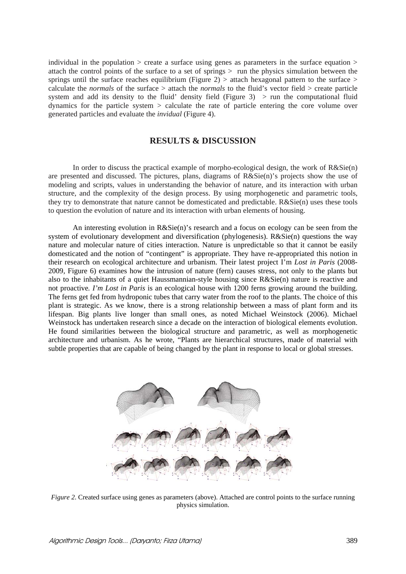individual in the population  $\ge$  create a surface using genes as parameters in the surface equation  $\ge$ attach the control points of the surface to a set of springs  $>$  run the physics simulation between the springs until the surface reaches equilibrium (Figure 2) > attach hexagonal pattern to the surface > calculate the *normals* of the surface > attach the *normals* to the fluid's vector field > create particle system and add its density to the fluid' density field (Figure 3)  $>$  run the computational fluid dynamics for the particle system > calculate the rate of particle entering the core volume over generated particles and evaluate the *invidual* (Figure 4).

### **RESULTS & DISCUSSION**

In order to discuss the practical example of morpho-ecological design, the work of R&Sie(n) are presented and discussed. The pictures, plans, diagrams of R&Sie(n)'s projects show the use of modeling and scripts, values in understanding the behavior of nature, and its interaction with urban structure, and the complexity of the design process. By using morphogenetic and parametric tools, they try to demonstrate that nature cannot be domesticated and predictable. R&Sie(n) uses these tools to question the evolution of nature and its interaction with urban elements of housing.

An interesting evolution in  $R\&Sie(n)$ 's research and a focus on ecology can be seen from the system of evolutionary development and diversification (phylogenesis). R&Sie(n) questions the way nature and molecular nature of cities interaction. Nature is unpredictable so that it cannot be easily domesticated and the notion of "contingent" is appropriate. They have re-appropriated this notion in their research on ecological architecture and urbanism. Their latest project I'm *Lost in Paris* (2008- 2009, Figure 6) examines how the intrusion of nature (fern) causes stress, not only to the plants but also to the inhabitants of a quiet Haussmannian-style housing since R&Sie(n) nature is reactive and not proactive*. I'm Lost in Paris* is an ecological house with 1200 ferns growing around the building. The ferns get fed from hydroponic tubes that carry water from the roof to the plants. The choice of this plant is strategic. As we know, there is a strong relationship between a mass of plant form and its lifespan. Big plants live longer than small ones, as noted Michael Weinstock (2006). Michael Weinstock has undertaken research since a decade on the interaction of biological elements evolution. He found similarities between the biological structure and parametric, as well as morphogenetic architecture and urbanism. As he wrote, "Plants are hierarchical structures, made of material with subtle properties that are capable of being changed by the plant in response to local or global stresses.



*Figure 2*. Created surface using genes as parameters (above). Attached are control points to the surface running physics simulation.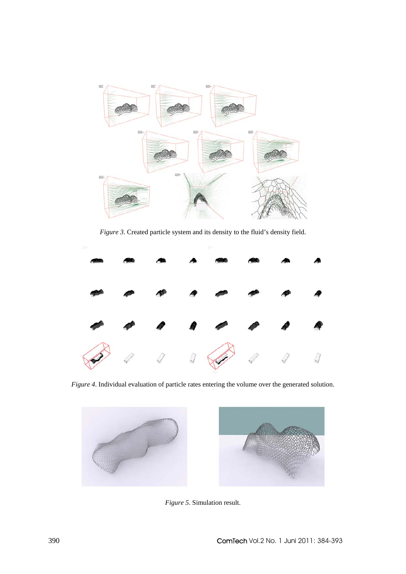

*Figure 3*. Created particle system and its density to the fluid's density field.



*Figure 4*. Individual evaluation of particle rates entering the volume over the generated solution.



*Figure 5*. Simulation result.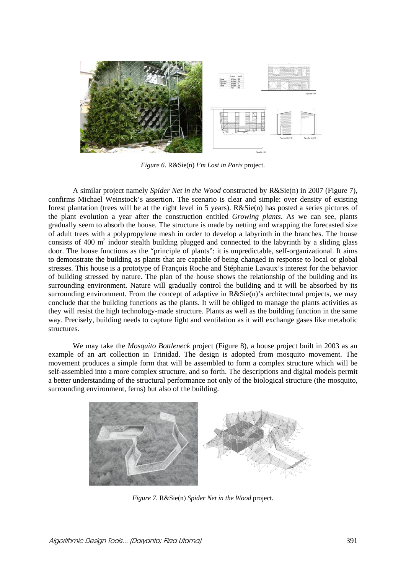

*Figure 6*. R&Sie(n) *I'm Lost in Paris* project.

A similar project namely *Spider Net in the Wood* constructed by R&Sie(n) in 2007 (Figure 7), confirms Michael Weinstock's assertion. The scenario is clear and simple: over density of existing forest plantation (trees will be at the right level in 5 years). R&Sie(n) has posted a series pictures of the plant evolution a year after the construction entitled *Growing plants*. As we can see, plants gradually seem to absorb the house. The structure is made by netting and wrapping the forecasted size of adult trees with a polypropylene mesh in order to develop a labyrinth in the branches. The house consists of 400  $m^2$  indoor stealth building plugged and connected to the labyrinth by a sliding glass door. The house functions as the "principle of plants": it is unpredictable, self-organizational. It aims to demonstrate the building as plants that are capable of being changed in response to local or global stresses. This house is a prototype of François Roche and Stéphanie Lavaux's interest for the behavior of building stressed by nature. The plan of the house shows the relationship of the building and its surrounding environment. Nature will gradually control the building and it will be absorbed by its surrounding environment. From the concept of adaptive in  $R&Sie(n)$ 's architectural projects, we may conclude that the building functions as the plants. It will be obliged to manage the plants activities as they will resist the high technology-made structure. Plants as well as the building function in the same way. Precisely, building needs to capture light and ventilation as it will exchange gases like metabolic structures.

We may take the *Mosquito Bottleneck* project (Figure 8), a house project built in 2003 as an example of an art collection in Trinidad. The design is adopted from mosquito movement. The movement produces a simple form that will be assembled to form a complex structure which will be self-assembled into a more complex structure, and so forth. The descriptions and digital models permit a better understanding of the structural performance not only of the biological structure (the mosquito, surrounding environment, ferns) but also of the building.



*Figure 7*. R&Sie(n) *Spider Net in the Wood* project.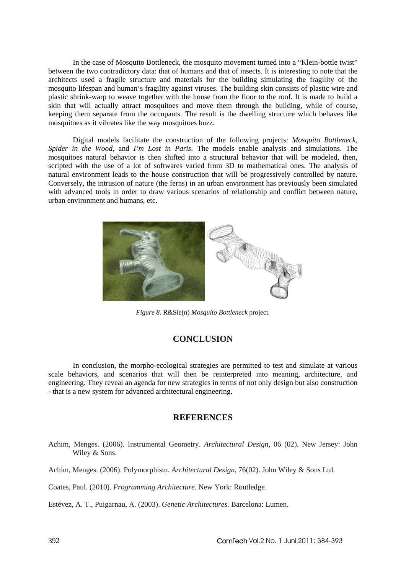In the case of Mosquito Bottleneck, the mosquito movement turned into a "Klein-bottle twist" between the two contradictory data: that of humans and that of insects. It is interesting to note that the architects used a fragile structure and materials for the building simulating the fragility of the mosquito lifespan and human's fragility against viruses. The building skin consists of plastic wire and plastic shrink-warp to weave together with the house from the floor to the roof. It is made to build a skin that will actually attract mosquitoes and move them through the building, while of course, keeping them separate from the occupants. The result is the dwelling structure which behaves like mosquitoes as it vibrates like the way mosquitoes buzz.

Digital models facilitate the construction of the following projects: *Mosquito Bottleneck, Spider in the Wood,* and *I'm Lost in Paris*. The models enable analysis and simulations. The mosquitoes natural behavior is then shifted into a structural behavior that will be modeled, then, scripted with the use of a lot of softwares varied from 3D to mathematical ones. The analysis of natural environment leads to the house construction that will be progressively controlled by nature. Conversely, the intrusion of nature (the ferns) in an urban environment has previously been simulated with advanced tools in order to draw various scenarios of relationship and conflict between nature, urban environment and humans, etc.



*Figure 8*. R&Sie(n) *Mosquito Bottleneck* project.

# **CONCLUSION**

In conclusion, the morpho-ecological strategies are permitted to test and simulate at various scale behaviors, and scenarios that will then be reinterpreted into meaning, architecture, and engineering. They reveal an agenda for new strategies in terms of not only design but also construction - that is a new system for advanced architectural engineering.

### **REFERENCES**

- Achim, Menges. (2006). Instrumental Geometry. *Architectural Design*, 06 (02). New Jersey: John Wiley & Sons.
- Achim, Menges. (2006). Polymorphism. *Architectural Design*, 76(02). John Wiley & Sons Ltd.
- Coates, Paul. (2010). *Programming Architecture*. New York: Routledge.

Estévez, A. T., Puigarnau, A. (2003). *Genetic Architectures*. Barcelona: Lumen.